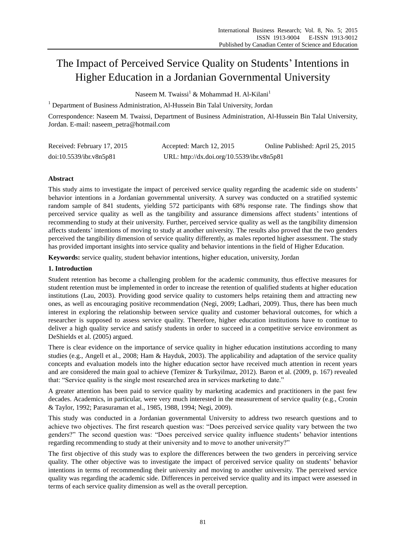# The Impact of Perceived Service Quality on Students' Intentions in Higher Education in a Jordanian Governmental University

Naseem M. Twaissi<sup>1</sup> & Mohammad H. Al-Kilani<sup>1</sup>

<sup>1</sup> Department of Business Administration, Al-Hussein Bin Talal University, Jordan

Correspondence: Naseem M. Twaissi, Department of Business Administration, Al-Hussein Bin Talal University, Jordan. E-mail: naseem\_petra@hotmail.com

| Received: February 17, 2015 | Accepted: March 12, 2015                   | Online Published: April 25, 2015 |
|-----------------------------|--------------------------------------------|----------------------------------|
| doi:10.5539/ibr.v8n5p81     | URL: http://dx.doi.org/10.5539/ibr.v8n5p81 |                                  |

## **Abstract**

This study aims to investigate the impact of perceived service quality regarding the academic side on students" behavior intentions in a Jordanian governmental university. A survey was conducted on a stratified systemic random sample of 841 students, yielding 572 participants with 68% response rate. The findings show that perceived service quality as well as the tangibility and assurance dimensions affect students" intentions of recommending to study at their university. Further, perceived service quality as well as the tangibility dimension affects students" intentions of moving to study at another university. The results also proved that the two genders perceived the tangibility dimension of service quality differently, as males reported higher assessment. The study has provided important insights into service quality and behavior intentions in the field of Higher Education.

**Keywords:** service quality, student behavior intentions, higher education, university, Jordan

## **1. Introduction**

Student retention has become a challenging problem for the academic community, thus effective measures for student retention must be implemented in order to increase the retention of qualified students at higher education institutions (Lau, 2003). Providing good service quality to customers helps retaining them and attracting new ones, as well as encouraging positive recommendation (Negi, 2009; Ladhari, 2009). Thus, there has been much interest in exploring the relationship between service quality and customer behavioral outcomes, for which a researcher is supposed to assess service quality. Therefore, higher education institutions have to continue to deliver a high quality service and satisfy students in order to succeed in a competitive service environment as DeShields et al. (2005) argued.

There is clear evidence on the importance of service quality in higher education institutions according to many studies (e.g., Angell et al., 2008; Ham & Hayduk, 2003). The applicability and adaptation of the service quality concepts and evaluation models into the higher education sector have received much attention in recent years and are considered the main goal to achieve (Temizer & Turkyilmaz, 2012). Baron et al. (2009, p. 167) revealed that: "Service quality is the single most researched area in services marketing to date."

A greater attention has been paid to service quality by marketing academics and practitioners in the past few decades. Academics, in particular, were very much interested in the measurement of service quality (e.g., Cronin & Taylor, 1992; Parasuraman et al., 1985, 1988, 1994; Negi, 2009).

This study was conducted in a Jordanian governmental University to address two research questions and to achieve two objectives. The first research question was: "Does perceived service quality vary between the two genders?" The second question was: "Does perceived service quality influence students" behavior intentions regarding recommending to study at their university and to move to another university?"

The first objective of this study was to explore the differences between the two genders in perceiving service quality. The other objective was to investigate the impact of perceived service quality on students" behavior intentions in terms of recommending their university and moving to another university. The perceived service quality was regarding the academic side. Differences in perceived service quality and its impact were assessed in terms of each service quality dimension as well as the overall perception.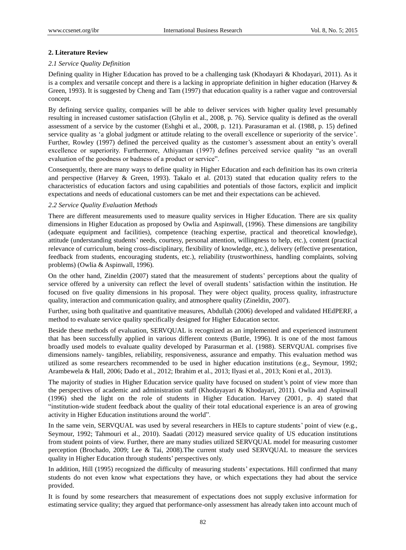## **2. Literature Review**

## *2.1 Service Quality Definition*

Defining quality in Higher Education has proved to be a challenging task (Khodayari & Khodayari, 2011). As it is a complex and versatile concept and there is a lacking in appropriate definition in higher education (Harvey & Green, 1993). It is suggested by Cheng and Tam (1997) that education quality is a rather vague and controversial concept.

By defining service quality, companies will be able to deliver services with higher quality level presumably resulting in increased customer satisfaction (Ghylin et al., 2008, p. 76). Service quality is defined as the overall assessment of a service by the customer (Eshghi et al., 2008, p. 121). Parasuraman et al. (1988, p. 15) defined service quality as 'a global judgment or attitude relating to the overall excellence or superiority of the service'. Further, Rowley (1997) defined the perceived quality as the customer's assessment about an entity's overall excellence or superiority. Furthermore, Athiyaman (1997) defines perceived service quality "as an overall evaluation of the goodness or badness of a product or service".

Consequently, there are many ways to define quality in Higher Education and each definition has its own criteria and perspective (Harvey & Green, 1993). Takalo et al. (2013) stated that education quality refers to the characteristics of education factors and using capabilities and potentials of those factors, explicit and implicit expectations and needs of educational customers can be met and their expectations can be achieved.

## *2.2 Service Quality Evaluation Methods*

There are different measurements used to measure quality services in Higher Education. There are six quality dimensions in Higher Education as proposed by Owlia and Aspinwall, (1996). These dimensions are tangibility (adequate equipment and facilities), competence (teaching expertise, practical and theoretical knowledge), attitude (understanding students" needs, courtesy, personal attention, willingness to help, etc.), content (practical relevance of curriculum, being cross-disciplinary, flexibility of knowledge, etc.), delivery (effective presentation, feedback from students, encouraging students, etc.), reliability (trustworthiness, handling complaints, solving problems) (Owlia & Aspinwall, 1996).

On the other hand, Zineldin (2007) stated that the measurement of students" perceptions about the quality of service offered by a university can reflect the level of overall students" satisfaction within the institution. He focused on five quality dimensions in his proposal. They were object quality, process quality, infrastructure quality, interaction and communication quality, and atmosphere quality (Zineldin, 2007).

Further, using both qualitative and quantitative measures, Abdullah (2006) developed and validated HEdPERF, a method to evaluate service quality specifically designed for Higher Education sector.

Beside these methods of evaluation, SERVQUAL is recognized as an implemented and experienced instrument that has been successfully applied in various different contexts (Buttle, 1996). It is one of the most famous broadly used models to evaluate quality developed by Parasurman et al. (1988). SERVQUAL comprises five dimensions namely- tangibles, reliability, responsiveness, assurance and empathy. This evaluation method was utilized as some researchers recommended to be used in higher education institutions (e.g., Seymour, 1992; Arambewela & Hall, 2006; Dado et al., 2012; Ibrahim et al., 2013; Ilyasi et al., 2013; Koni et al., 2013).

The majority of studies in Higher Education service quality have focused on student's point of view more than the perspectives of academic and administration staff (Khodayayari & Khodayari, 2011). Owlia and Aspinwall (1996) shed the light on the role of students in Higher Education. Harvey (2001, p. 4) stated that "institution-wide student feedback about the quality of their total educational experience is an area of growing activity in Higher Education institutions around the world".

In the same vein, SERVQUAL was used by several researchers in HEIs to capture students' point of view (e.g., Seymour, 1992; Tahmouri et al., 2010). Saadati (2012) measured service quality of US education institutions from student points of view. Further, there are many studies utilized SERVQUAL model for measuring customer perception (Brochado, 2009; Lee & Tai, 2008).The current study used SERVQUAL to measure the services quality in Higher Education through students' perspectives only.

In addition, Hill (1995) recognized the difficulty of measuring students" expectations. Hill confirmed that many students do not even know what expectations they have, or which expectations they had about the service provided.

It is found by some researchers that measurement of expectations does not supply exclusive information for estimating service quality; they argued that performance-only assessment has already taken into account much of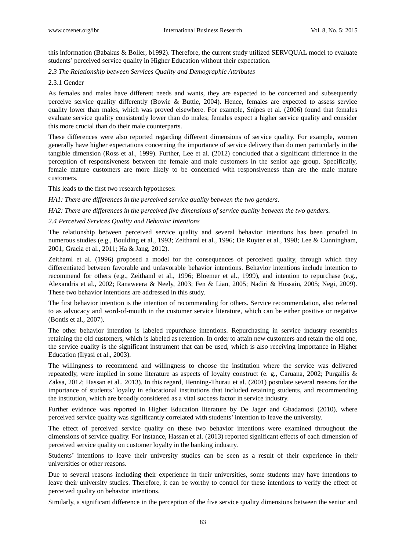this information (Babakus & Boller, b1992). Therefore, the current study utilized SERVQUAL model to evaluate students" perceived service quality in Higher Education without their expectation.

## *2.3 The Relationship between Services Quality and Demographic Attributes*

## 2.3.1 Gender

As females and males have different needs and wants, they are expected to be concerned and subsequently perceive service quality differently (Bowie & Buttle, 2004). Hence, females are expected to assess service quality lower than males, which was proved elsewhere. For example, Snipes et al. (2006) found that females evaluate service quality consistently lower than do males; females expect a higher service quality and consider this more crucial than do their male counterparts.

These differences were also reported regarding different dimensions of service quality. For example, women generally have higher expectations concerning the importance of service delivery than do men particularly in the tangible dimension (Ross et al., 1999). Further, Lee et al. (2012) concluded that a significant difference in the perception of responsiveness between the female and male customers in the senior age group. Specifically, female mature customers are more likely to be concerned with responsiveness than are the male mature customers.

This leads to the first two research hypotheses:

*HA1: There are differences in the perceived service quality between the two genders.*

*HA2: There are differences in the perceived five dimensions of service quality between the two genders.*

## *2.4 Perceived Services Quality and Behavior Intentions*

The relationship between perceived service quality and several behavior intentions has been proofed in numerous studies (e.g., Boulding et al., 1993; Zeithaml et al., 1996; De Ruyter et al., 1998; Lee & Cunningham, 2001; Gracia et al., 2011; Ha & Jang, 2012).

Zeithaml et al. (1996) proposed a model for the consequences of perceived quality, through which they differentiated between favorable and unfavorable behavior intentions. Behavior intentions include intention to recommend for others (e.g., Zeithaml et al., 1996; Bloemer et al., 1999), and intention to repurchase (e.g., Alexandris et al., 2002; Ranaweera & Neely, 2003; Fen & Lian, 2005; Nadiri & Hussain, 2005; Negi, 2009). These two behavior intentions are addressed in this study.

The first behavior intention is the intention of recommending for others. Service recommendation, also referred to as advocacy and word-of-mouth in the customer service literature, which can be either positive or negative (Bontis et al., 2007).

The other behavior intention is labeled repurchase intentions. Repurchasing in service industry resembles retaining the old customers, which is labeled as retention. In order to attain new customers and retain the old one, the service quality is the significant instrument that can be used, which is also receiving importance in Higher Education (Ilyasi et al., 2003).

The willingness to recommend and willingness to choose the institution where the service was delivered repeatedly, were implied in some literature as aspects of loyalty construct (e. g., Caruana, 2002; Purgailis & Zaksa, 2012; Hassan et al., 2013). In this regard, Henning-Thurau et al. (2001) postulate several reasons for the importance of students" loyalty in educational institutions that included retaining students, and recommending the institution, which are broadly considered as a vital success factor in service industry.

Further evidence was reported in Higher Education literature by De Jager and Gbadamosi (2010), where perceived service quality was significantly correlated with students" intention to leave the university.

The effect of perceived service quality on these two behavior intentions were examined throughout the dimensions of service quality. For instance, Hassan et al. (2013) reported significant effects of each dimension of perceived service quality on customer loyalty in the banking industry.

Students' intentions to leave their university studies can be seen as a result of their experience in their universities or other reasons.

Due to several reasons including their experience in their universities, some students may have intentions to leave their university studies. Therefore, it can be worthy to control for these intentions to verify the effect of perceived quality on behavior intentions.

Similarly, a significant difference in the perception of the five service quality dimensions between the senior and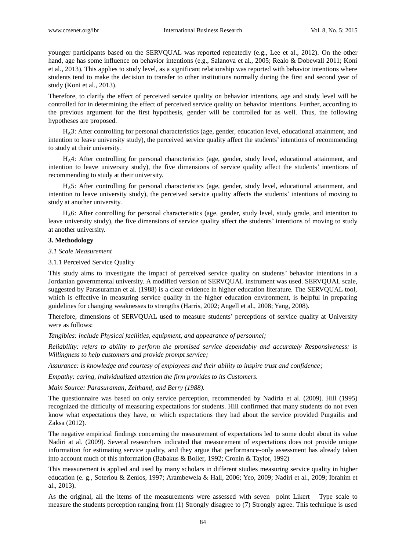younger participants based on the SERVQUAL was reported repeatedly (e.g., Lee et al., 2012). On the other hand, age has some influence on behavior intentions (e.g., Salanova et al., 2005; Realo & Dobewall 2011; Koni et al., 2013). This applies to study level, as a significant relationship was reported with behavior intentions where students tend to make the decision to transfer to other institutions normally during the first and second year of study (Koni et al., 2013).

Therefore, to clarify the effect of perceived service quality on behavior intentions, age and study level will be controlled for in determining the effect of perceived service quality on behavior intentions. Further, according to the previous argument for the first hypothesis, gender will be controlled for as well. Thus, the following hypotheses are proposed.

HA3: After controlling for personal characteristics (age, gender, education level, educational attainment, and intention to leave university study), the perceived service quality affect the students' intentions of recommending to study at their university.

HA4: After controlling for personal characteristics (age, gender, study level, educational attainment, and intention to leave university study), the five dimensions of service quality affect the students' intentions of recommending to study at their university.

HA5: After controlling for personal characteristics (age, gender, study level, educational attainment, and intention to leave university study), the perceived service quality affects the students" intentions of moving to study at another university.

HA6: After controlling for personal characteristics (age, gender, study level, study grade, and intention to leave university study), the five dimensions of service quality affect the students" intentions of moving to study at another university.

#### **3. Methodology**

*3.1 Scale Measurement* 

3.1.1 Perceived Service Quality

This study aims to investigate the impact of perceived service quality on students" behavior intentions in a Jordanian governmental university. A modified version of SERVQUAL instrument was used. SERVQUAL scale, suggested by Parasuraman et al. (1988) is a clear evidence in higher education literature. The SERVQUAL tool, which is effective in measuring service quality in the higher education environment, is helpful in preparing guidelines for changing weaknesses to strengths (Harris, 2002; Angell et al., 2008; Yang, 2008).

Therefore, dimensions of SERVQUAL used to measure students" perceptions of service quality at University were as follows:

*Tangibles: include Physical facilities, equipment, and appearance of personnel;*

*Reliability: refers to ability to perform the promised service dependably and accurately Responsiveness: is Willingness to help customers and provide prompt service;*

*Assurance: is knowledge and courtesy of employees and their ability to inspire trust and confidence;*

*Empathy: caring, individualized attention the firm provides to its Customers.*

*Main Source: Parasuraman, Zeithaml, and Berry (1988).*

The questionnaire was based on only service perception, recommended by Nadiria et al. (2009). Hill (1995) recognized the difficulty of measuring expectations for students. Hill confirmed that many students do not even know what expectations they have, or which expectations they had about the service provided Purgailis and Zaksa (2012).

The negative empirical findings concerning the measurement of expectations led to some doubt about its value Nadiri at al. (2009). Several researchers indicated that measurement of expectations does not provide unique information for estimating service quality, and they argue that performance-only assessment has already taken into account much of this information (Babakus & Boller, 1992; Cronin & Taylor, 1992)

This measurement is applied and used by many scholars in different studies measuring service quality in higher education (e. g., Soteriou & Zenios, 1997; Arambewela & Hall, 2006; Yeo, 2009; Nadiri et al., 2009; Ibrahim et al., 2013).

As the original, all the items of the measurements were assessed with seven –point Likert – Type scale to measure the students perception ranging from (1) Strongly disagree to (7) Strongly agree. This technique is used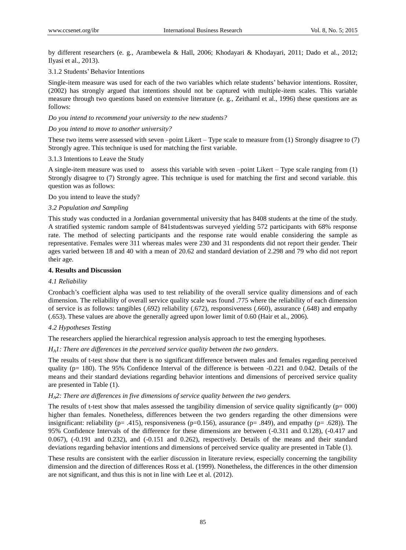by different researchers (e. g., Arambewela & Hall, 2006; Khodayari & Khodayari, 2011; Dado et al., 2012; Ilyasi et al., 2013).

## 3.1.2 Students" Behavior Intentions

Single-item measure was used for each of the two variables which relate students" behavior intentions. Rossiter, (2002) has strongly argued that intentions should not be captured with multiple-item scales. This variable measure through two questions based on extensive literature (e. g., Zeithaml et al., 1996) these questions are as follows:

### *Do you intend to recommend your university to the new students?*

#### *Do you intend to move to another university?*

These two items were assessed with seven –point Likert – Type scale to measure from (1) Strongly disagree to (7) Strongly agree. This technique is used for matching the first variable.

#### 3.1.3 Intentions to Leave the Study

A single-item measure was used to assess this variable with seven –point Likert – Type scale ranging from (1) Strongly disagree to (7) Strongly agree. This technique is used for matching the first and second variable. this question was as follows:

#### Do you intend to leave the study?

## *3.2 Population and Sampling*

This study was conducted in a Jordanian governmental university that has 8408 students at the time of the study. A stratified systemic random sample of 841studentswas surveyed yielding 572 participants with 68% response rate. The method of selecting participants and the response rate would enable considering the sample as representative. Females were 311 whereas males were 230 and 31 respondents did not report their gender. Their ages varied between 18 and 40 with a mean of 20.62 and standard deviation of 2.298 and 79 who did not report their age.

## **4. Results and Discussion**

## *4.1 Reliability*

Cronbach"s coefficient alpha was used to test reliability of the overall service quality dimensions and of each dimension. The reliability of overall service quality scale was found .775 where the reliability of each dimension of service is as follows: tangibles (.692) reliability (.672), responsiveness (.660), assurance (.648) and empathy (.653). These values are above the generally agreed upon lower limit of 0.60 (Hair et al., 2006).

## *4.2 Hypotheses Testing*

The researchers applied the hierarchical regression analysis approach to test the emerging hypotheses.

## *HA1: There are differences in the perceived service quality between the two genders*.

The results of t-test show that there is no significant difference between males and females regarding perceived quality ( $p= 180$ ). The 95% Confidence Interval of the difference is between  $-0.221$  and 0.042. Details of the means and their standard deviations regarding behavior intentions and dimensions of perceived service quality are presented in Table (1).

## *HA2: There are differences in five dimensions of service quality between the two genders.*

The results of t-test show that males assessed the tangibility dimension of service quality significantly  $(p= 000)$ higher than females. Nonetheless, differences between the two genders regarding the other dimensions were insignificant: reliability (p= .415), responsiveness (p=0.156), assurance (p= .849), and empathy (p= .628)). The 95% Confidence Intervals of the difference for these dimensions are between (-0.311 and 0.128), (-0.417 and 0.067), (-0.191 and 0.232), and (-0.151 and 0.262), respectively. Details of the means and their standard deviations regarding behavior intentions and dimensions of perceived service quality are presented in Table (1).

These results are consistent with the earlier discussion in literature review, especially concerning the tangibility dimension and the direction of differences Ross et al. (1999). Nonetheless, the differences in the other dimension are not significant, and thus this is not in line with Lee et al. (2012).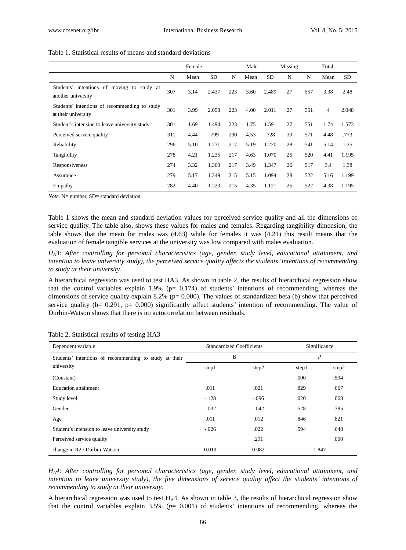|                                                                      |     | Female |           |     | Male |           | Missing |     | Total          |           |
|----------------------------------------------------------------------|-----|--------|-----------|-----|------|-----------|---------|-----|----------------|-----------|
|                                                                      | N   | Mean   | <b>SD</b> | N   | Mean | <b>SD</b> | N       | N   | Mean           | <b>SD</b> |
| Students' intentions of moving to study at<br>another university     | 307 | 3.14   | 2.437     | 223 | 3.60 | 2.489     | 27      | 557 | 3.38           | 2.48      |
| Students' intentions of recommending to study<br>at their university | 301 | 3.99   | 2.058     | 223 | 4.00 | 2.011     | 27      | 551 | $\overline{4}$ | 2.048     |
| Student's intension to leave university study                        | 301 | 1.69   | 1.494     | 223 | 1.75 | 1.591     | 27      | 551 | 1.74           | 1.573     |
| Perceived service quality                                            | 311 | 4.44   | .799      | 230 | 4.53 | .728      | 30      | 571 | 4.48           | .773      |
| Reliability                                                          | 296 | 5.10   | 1.271     | 217 | 5.19 | 1.220     | 28      | 541 | 5.14           | 1.25      |
| Tangibility                                                          | 278 | 4.21   | 1.235     | 217 | 4.63 | 1.070     | 25      | 520 | 4.41           | 1.195     |
| Responsiveness                                                       | 274 | 3.32   | 1.360     | 217 | 3.49 | 1.347     | 26      | 517 | 3.4            | 1.38      |
| Assurance                                                            | 279 | 5.17   | 1.249     | 215 | 5.15 | 1.094     | 28      | 522 | 5.16           | 1.199     |
| Empathy                                                              | 282 | 4.40   | 1.223     | 215 | 4.35 | 1.121     | 25      | 522 | 4.38           | 1.195     |

## Table 1. Statistical results of means and standard deviations

*Note.* N= number, SD= standard deviation.

Table 1 shows the mean and standard deviation values for perceived service quality and all the dimensions of service quality. The table also, shows these values for males and females. Regarding tangibility dimension, the table shows that the mean for males was (4.63) while for females it was (4.21) this result means that the evaluation of female tangible services at the university was low compared with males evaluation.

*HA3: After controlling for personal characteristics (age, gender, study level, educational attainment, and intention to leave university study), the perceived service quality affects the students'intentions of recommending to study at their university.* 

A hierarchical regression was used to test HA3. As shown in table 2, the results of hierarchical regression show that the control variables explain 1.9% ( $p= 0.174$ ) of students' intentions of recommending, whereas the dimensions of service quality explain 8.2% (p= 0.000). The values of standardized beta (b) show that perceived service quality ( $b= 0.291$ ,  $p= 0.000$ ) significantly affect students' intention of recommending. The value of Durbin-Watson shows that there is no autocorrelation between residuals.

| Dependent variable                                     | <b>Standardized Coefficients</b> |         | Significance |       |  |
|--------------------------------------------------------|----------------------------------|---------|--------------|-------|--|
| Students' intentions of recommending to study at their |                                  | B       | P            |       |  |
| university                                             | step1                            | step2   | step1        | step2 |  |
| (Constant)                                             |                                  |         | .000         | .594  |  |
| <b>Education attainment</b>                            | .011                             | .021    | .829         | .667  |  |
| Study level                                            | $-.128$                          | $-.096$ | .020         | .068  |  |
| Gender                                                 | $-.032$                          | $-.042$ | .528         | .385  |  |
| Age                                                    | .011                             | .012    | .846         | .821  |  |
| Student's intension to leave university study          | $-.026$                          | .022    | .594         | .648  |  |
| Perceived service quality                              |                                  | .291    |              | .000  |  |
| change in R2 / Durbin-Watson                           | 0.019                            | 0.082   | 1.847        |       |  |

Table 2. Statistical results of testing HA3

*HA4: After controlling for personal characteristics (age, gender, study level, educational attainment, and intention to leave university study), the five dimensions of service quality affect the students' intentions of recommending to study at their university*.

A hierarchical regression was used to test  $H_A4$ . As shown in table 3, the results of hierarchical regression show that the control variables explain 3.5% (*p*= 0.001) of students" intentions of recommending, whereas the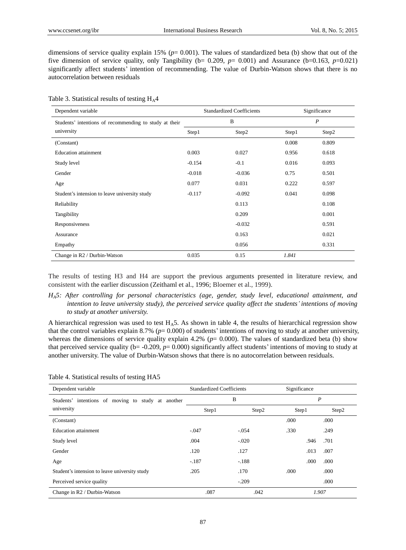dimensions of service quality explain 15% ( $p= 0.001$ ). The values of standardized beta (b) show that out of the five dimension of service quality, only Tangibility ( $b= 0.209$ ,  $p= 0.001$ ) and Assurance ( $b=0.163$ ,  $p=0.021$ ) significantly affect students' intention of recommending. The value of Durbin-Watson shows that there is no autocorrelation between residuals

| Dependent variable                                     |          | <b>Standardized Coefficients</b> | Significance     |       |  |
|--------------------------------------------------------|----------|----------------------------------|------------------|-------|--|
| Students' intentions of recommending to study at their |          | B                                | $\boldsymbol{P}$ |       |  |
| university                                             | Step1    | Step2                            | Step1            | Step2 |  |
| (Constant)                                             |          |                                  | 0.008            | 0.809 |  |
| <b>Education</b> attainment                            | 0.003    | 0.027                            | 0.956            | 0.618 |  |
| Study level                                            | $-0.154$ | $-0.1$                           | 0.016            | 0.093 |  |
| Gender                                                 | $-0.018$ | $-0.036$                         | 0.75             | 0.501 |  |
| Age                                                    | 0.077    | 0.031                            | 0.222            | 0.597 |  |
| Student's intension to leave university study          | $-0.117$ | $-0.092$                         | 0.041            | 0.098 |  |
| Reliability                                            |          | 0.113                            |                  | 0.108 |  |
| Tangibility                                            |          | 0.209                            |                  | 0.001 |  |
| Responsiveness                                         |          | $-0.032$                         |                  | 0.591 |  |
| Assurance                                              |          | 0.163                            |                  | 0.021 |  |
| Empathy                                                |          | 0.056                            |                  | 0.331 |  |
| Change in R2 / Durbin-Watson                           | 0.035    | 0.15                             | 1.841            |       |  |

Table 3. Statistical results of testing  $H_A4$ 

The results of testing H3 and H4 are support the previous arguments presented in literature review, and consistent with the earlier discussion (Zeithaml et al., 1996; Bloemer et al., 1999).

*HA5: After controlling for personal characteristics (age, gender, study level, educational attainment, and intention to leave university study), the perceived service quality affect the students' intentions of moving to study at another university.* 

A hierarchical regression was used to test  $H_A$ 5. As shown in table 4, the results of hierarchical regression show that the control variables explain 8.7% (*p*= 0.000) of students" intentions of moving to study at another university, whereas the dimensions of service quality explain 4.2% ( $p= 0.000$ ). The values of standardized beta (b) show that perceived service quality ( $b = -0.209$ ,  $p = 0.000$ ) significantly affect students' intentions of moving to study at another university. The value of Durbin-Watson shows that there is no autocorrelation between residuals.

| Dependent variable                                 | <b>Standardized Coefficients</b> |         | Significance   |       |  |
|----------------------------------------------------|----------------------------------|---------|----------------|-------|--|
| Students' intentions of moving to study at another | В                                |         | $\overline{P}$ |       |  |
| university                                         | Step1                            | Step2   | Step1          | Step2 |  |
| (Constant)                                         |                                  |         | .000           | .000  |  |
| <b>Education attainment</b>                        | $-.047$                          | $-.054$ | .330           | .249  |  |
| Study level                                        | .004                             | $-.020$ | .946           | .701  |  |
| Gender                                             | .120                             | .127    | .013           | .007  |  |
| Age                                                | $-.187$                          | $-.188$ | .000           | .000  |  |
| Student's intension to leave university study      | .205                             | .170    | .000           | .000  |  |
| Perceived service quality                          |                                  | $-.209$ |                | .000  |  |
| Change in R2 / Durbin-Watson                       | .087                             | .042    |                | 1.907 |  |

Table 4. Statistical results of testing HA5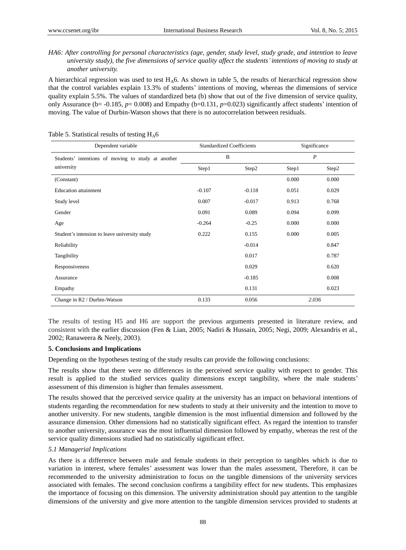## *HA6: After controlling for personal characteristics (age, gender, study level, study grade, and intention to leave university study), the five dimensions of service quality affect the students'intentions of moving to study at another university.*

A hierarchical regression was used to test  $H_A$ 6. As shown in table 5, the results of hierarchical regression show that the control variables explain 13.3% of students" intentions of moving, whereas the dimensions of service quality explain 5.5%. The values of standardized beta (b) show that out of the five dimension of service quality, only Assurance (b= -0.185, *p*= 0.008) and Empathy (b=0.131, *p*=0.023) significantly affect students" intention of moving. The value of Durbin-Watson shows that there is no autocorrelation between residuals.

| Dependent variable                                               | <b>Standardized Coefficients</b> |          | Significance     |       |  |
|------------------------------------------------------------------|----------------------------------|----------|------------------|-------|--|
| Students' intentions of moving to study at another<br>university | B                                |          | $\boldsymbol{P}$ |       |  |
|                                                                  | Step1                            | Step2    | Step1            | Step2 |  |
| (Constant)                                                       |                                  |          | 0.000            | 0.000 |  |
| <b>Education</b> attainment                                      | $-0.107$                         | $-0.118$ | 0.051            | 0.029 |  |
| Study level                                                      | 0.007                            | $-0.017$ | 0.913            | 0.768 |  |
| Gender                                                           | 0.091                            | 0.089    | 0.094            | 0.099 |  |
| Age                                                              | $-0.264$                         | $-0.25$  | 0.000            | 0.000 |  |
| Student's intension to leave university study                    | 0.222                            | 0.155    | 0.000            | 0.005 |  |
| Reliability                                                      |                                  | $-0.014$ |                  | 0.847 |  |
| Tangibility                                                      |                                  | 0.017    |                  | 0.787 |  |
| Responsiveness                                                   |                                  | 0.029    |                  | 0.620 |  |
| Assurance                                                        |                                  | $-0.185$ |                  | 0.008 |  |
| Empathy                                                          |                                  | 0.131    |                  | 0.023 |  |
| Change in R2 / Durbin-Watson                                     | 0.133                            | 0.056    |                  | 2.036 |  |

Table 5. Statistical results of testing  $H_A6$ 

The results of testing H5 and H6 are support the previous arguments presented in literature review, and consistent with the earlier discussion (Fen & Lian, 2005; Nadiri & Hussain, 2005; Negi, 2009; Alexandris et al., 2002; Ranaweera & Neely, 2003).

#### **5. Conclusions and Implications**

Depending on the hypotheses testing of the study results can provide the following conclusions:

The results show that there were no differences in the perceived service quality with respect to gender. This result is applied to the studied services quality dimensions except tangibility, where the male students" assessment of this dimension is higher than females assessment.

The results showed that the perceived service quality at the university has an impact on behavioral intentions of students regarding the recommendation for new students to study at their university and the intention to move to another university. For new students, tangible dimension is the most influential dimension and followed by the assurance dimension. Other dimensions had no statistically significant effect. As regard the intention to transfer to another university, assurance was the most influential dimension followed by empathy, whereas the rest of the service quality dimensions studied had no statistically significant effect.

#### *5.1 Managerial Implications*

As there is a difference between male and female students in their perception to tangibles which is due to variation in interest, where females" assessment was lower than the males assessment, Therefore, it can be recommended to the university administration to focus on the tangible dimensions of the university services associated with females. The second conclusion confirms a tangibility effect for new students. This emphasizes the importance of focusing on this dimension. The university administration should pay attention to the tangible dimensions of the university and give more attention to the tangible dimension services provided to students at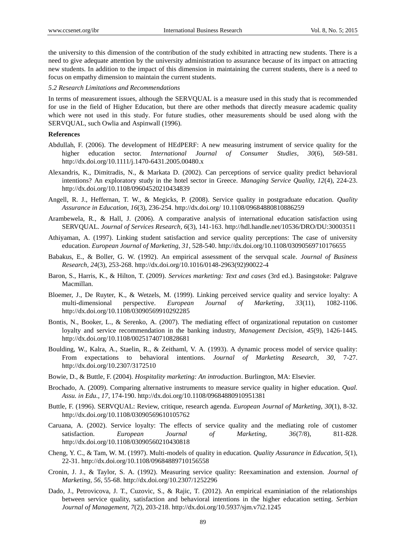the university to this dimension of the contribution of the study exhibited in attracting new students. There is a need to give adequate attention by the university administration to assurance because of its impact on attracting new students. In addition to the impact of this dimension in maintaining the current students, there is a need to focus on empathy dimension to maintain the current students.

*5.2 Research Limitations and Recommendations*

In terms of measurement issues, although the SERVQUAL is a measure used in this study that is recommended for use in the field of Higher Education, but there are other methods that directly measure academic quality which were not used in this study. For future studies, other measurements should be used along with the SERVQUAL, such Owlia and Aspinwall (1996).

#### **References**

- Abdullah, F. (2006). The development of HEdPERF: A new measuring instrument of service quality for the higher education sector. *International Journal of Consumer Studies, 30*(6), 569-581. http://dx.doi.org/10.1111/j.1470-6431.2005.00480.x
- Alexandris, K., Dimitradis, N., & Markata D. (2002). Can perceptions of service quality predict behavioral intentions? An exploratory study in the hotel sector in Greece. *Managing Service Quality, 12*(4), 224-23. http://dx.doi.org/10.1108/09604520210434839
- Angell, R. J., Heffernan, T. W., & Megicks, P. (2008). Service quality in postgraduate education. *Quality Assurance in Education, 16*(3), 236-254. http://dx.doi.org/ 10.1108/09684880810886259
- Arambewela, R., & Hall, J. (2006). A comparative analysis of international education satisfaction using SERVQUAL. *Journal of Services Research, 6*(3), 141-163. http://hdl.handle.net/10536/DRO/DU:30003511
- Athiyaman, A. (1997). Linking student satisfaction and service quality perceptions: The case of university education. *European Journal of Marketing, 31*, 528-540. http://dx.doi.org/10.1108/03090569710176655
- Babakus, E., & Boller, G. W. (1992). An empirical assessment of the servqual scale. *Journal of Business Research, 24*(3), 253-268. http://dx.doi.org/10.1016/0148-2963(92)90022-4
- Baron, S., Harris, K., & Hilton, T. (2009). *Services marketing: Text and cases* (3rd ed.). Basingstoke: Palgrave Macmillan.
- Bloemer, J., De Ruyter, K., & Wetzels, M. (1999). Linking perceived service quality and service loyalty: A multi-dimensional perspective. *European Journal of Marketing, 33*(11), 1082-1106. http://dx.doi.org/10.1108/03090569910292285
- Bontis, N., Booker, L., & Serenko, A. (2007). The mediating effect of organizational reputation on customer loyalty and service recommendation in the banking industry, *Management Decision*, *45*(9), 1426-1445. http://dx.doi.org/10.1108/00251740710828681
- Boulding, W., Kalra, A., Staelin, R., & Zeithaml, V. A. (1993). A dynamic process model of service quality: From expectations to behavioral intentions. *Journal of Marketing Research, 30*, 7-27. http://dx.doi.org/10.2307/3172510
- Bowie, D., & Buttle, F. (2004). *Hospitality marketing: An introduction*. Burlington, MA: Elsevier.
- Brochado, A. (2009). Comparing alternative instruments to measure service quality in higher education. *Qual. Assu. in Edu., 17*, 174-190. http://dx.doi.org/10.1108/09684880910951381
- Buttle, F. (1996). SERVQUAL: Review, critique, research agenda. *European Journal of Marketing, 30*(1), 8-32. http://dx.doi.org/10.1108/03090569610105762
- Caruana, A. (2002). Service loyalty: The effects of service quality and the mediating role of customer satisfaction. *European Journal of Marketing, 36*(7/8), 811-828. http://dx.doi.org/10.1108/03090560210430818
- Cheng, Y. C., & Tam, W. M. (1997). Multi-models of quality in education. *Quality Assurance in Education, 5*(1), 22-31. http://dx.doi.org/10.1108/09684889710156558
- Cronin, J. J., & Taylor, S. A. (1992). Measuring service quality: Reexamination and extension. *Journal of Marketing, 56*, 55-68. http://dx.doi.org/10.2307/1252296
- Dado, J., Petrovicova, J. T., Cuzovic, S., & Rajic, T. (2012). An empirical examiniation of the relationships between service quality, satisfaction and behavioral intentions in the higher education setting. *Serbian Journal of Management, 7*(2), 203-218. http://dx.doi.org/10.5937/sjm.v7i2.1245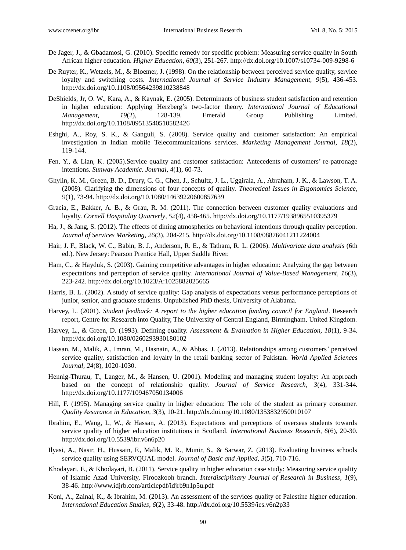- De Jager, J., & Gbadamosi, G. (2010). Specific remedy for specific problem: Measuring service quality in South African higher education. *Higher Education*, *60*(3), 251-267. http://dx.doi.org/10.1007/s10734-009-9298-6
- De Ruyter, K., Wetzels, M., & Bloemer, J. (1998). On the relationship between perceived service quality, service loyalty and switching costs. *International Journal of Service Industry Management, 9*(5), 436-453. http://dx.doi.org/10.1108/09564239810238848
- DeShields, Jr, O. W., Kara, A., & Kaynak, E. (2005). Determinants of business student satisfaction and retention in higher education: Applying Herzberg"s two-factor theory. *International Journal of Educational Management, 19*(2), 128-139. Emerald Group Publishing Limited. http://dx.doi.org/10.1108/09513540510582426
- Eshghi, A., Roy, S. K., & Ganguli, S. (2008). Service quality and customer satisfaction: An empirical investigation in Indian mobile Telecommunications services. *Marketing Management Journal, 18*(2), 119-144.
- Fen, Y., & Lian, K. (2005).Service quality and customer satisfaction: Antecedents of customers" re-patronage intentions. *Sunway Academic. Journal, 4*(1), 60-73.
- Ghylin, K. M., Green, B. D., Drury, C. G., Chen, J., Schultz, J. L., Uggirala, A., Abraham, J. K., & Lawson, T. A. (2008). Clarifying the dimensions of four concepts of quality. *Theoretical Issues in Ergonomics Science, 9*(1), 73-94. http://dx.doi.org/10.1080/14639220600857639
- Gracia, E., Bakker, A. B., & Grau, R. M. (2011). The connection between customer quality evaluations and loyalty. *Cornell Hospitality Quarterly, 52*(4), 458-465. http://dx.doi.org/10.1177/1938965510395379
- Ha, J., & Jang, S. (2012). The effects of dining atmospherics on behavioral intentions through quality perception. *Journal of Services Marketing, 26*(3), 204-215. http://dx.doi.org/10.1108/08876041211224004
- Hair, J. F., Black, W. C., Babin, B. J., Anderson, R. E., & Tatham, R. L. (2006). *Multivariate data analysis* (6th ed.). New Jersey: Pearson Prentice Hall, Upper Saddle River.
- Ham, C., & Hayduk, S. (2003). Gaining competitive advantages in higher education: Analyzing the gap between expectations and perception of service quality. *International Journal of Value-Based Management, 16*(3), 223-242. http://dx.doi.org/10.1023/A:1025882025665
- Harris, B. L. (2002). A study of service quality: Gap analysis of expectations versus performance perceptions of junior, senior, and graduate students. Unpublished PhD thesis, University of Alabama.
- Harvey, L. (2001). *Student feedback: A report to the higher education funding council for England*. Research report, Centre for Research into Quality, The University of Central England, Birmingham, United Kingdom.
- Harvey, L., & Green, D. (1993). Defining quality. *Assessment & Evaluation in Higher Education, 18*(1), 9-34. http://dx.doi.org/10.1080/0260293930180102
- Hassan, M., Malik, A., Imran, M., Hasnain, A., & Abbas, J. (2013). Relationships among customers" perceived service quality, satisfaction and loyalty in the retail banking sector of Pakistan. *World Applied Sciences Journal, 24*(8), 1020-1030.
- Hennig-Thurau, T., Langer, M., & Hansen, U. (2001). Modeling and managing student loyalty: An approach based on the concept of relationship quality. *Journal of Service Research, 3*(4), 331-344. http://dx.doi.org/10.1177/109467050134006
- Hill, F. (1995). Managing service quality in higher education: The role of the student as primary consumer. *Quality Assurance in Education, 3*(3), 10-21. http://dx.doi.org/10.1080/1353832950010107
- Ibrahim, E., Wang, L, W., & Hassan, A. (2013). Expectations and perceptions of overseas students towards service quality of higher education institutions in Scotland. *International Business Research, 6*(6), 20-30. http://dx.doi.org/10.5539/ibr.v6n6p20
- Ilyasi, A., Nasir, H., Hussain, F., Malik, M. R., Munir, S., & Sarwar, Z. (2013). Evaluating business schools service quality using SERVQUAL model. *Journal of Basic and Applied, 3*(5), 710-716.
- Khodayari, F., & Khodayari, B. (2011). Service quality in higher education case study: Measuring service quality of Islamic Azad University, Firoozkooh branch. *Interdisciplinary Journal of Research in Business, 1*(9), 38-46. http://www.idjrb.com/articlepdf/idjrb9n1p5u.pdf
- Koni, A., Zainal, K., & Ibrahim, M. (2013). An assessment of the services quality of Palestine higher education. *International Education Studies, 6*(2), 33-48. http://dx.doi.org/10.5539/ies.v6n2p33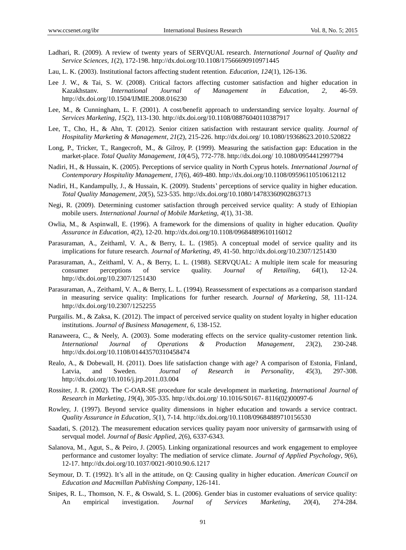- Ladhari, R. (2009). A review of twenty years of SERVQUAL research. *International Journal of Quality and Service Sciences, 1*(2), 172-198. http://dx.doi.org/10.1108/17566690910971445
- Lau, L. K. (2003). Institutional factors affecting student retention. *Education, 124*(1), 126-136.
- Lee J. W., & Tai, S. W. (2008). Critical factors affecting customer satisfaction and higher education in Kazakhstanv. *International Journal of Management in Education, 2,* 46-59. http://dx.doi.org/10.1504/IJMIE.2008.016230
- Lee, M., & Cunningham, L. F. (2001). A cost/benefit approach to understanding service loyalty. *Journal of Services Marketing, 15*(2), 113-130. http://dx.doi.org/10.1108/08876040110387917
- Lee, T., Cho, H., & Ahn, T. (2012). Senior citizen satisfaction with restaurant service quality. *Journal of Hospitality Marketing & Management, 21*(2), 215-226. http://dx.doi.org/ 10.1080/19368623.2010.520822
- Long, P., Tricker, T., Rangecroft, M., & Gilroy, P. (1999). Measuring the satisfaction gap: Education in the market-place. *Total Quality Management, 10*(4/5), 772-778. http://dx.doi.org/ 10.1080/0954412997794
- Nadiri, H., & Hussain, K. (2005). Perceptions of service quality in North Cyprus hotels. *International Journal of Contemporary Hospitality Management, 17*(6), 469-480. http://dx.doi.org/10.1108/09596110510612112
- Nadiri, H., Kandampully, J., & Hussain, K. (2009). Students" perceptions of service quality in higher education. *Total Quality Management, 20*(5), 523-535. http://dx.doi.org/10.1080/14783360902863713
- Negi, R. (2009). Determining customer satisfaction through perceived service quality: A study of Ethiopian mobile users. *International Journal of Mobile Marketing, 4*(1), 31-38.
- Owlia, M., & Aspinwall, E. (1996). A framework for the dimensions of quality in higher education. *Quality Assurance in Education*, *4*(2), 12-20. http://dx.doi.org/10.1108/09684889610116012
- Parasuraman, A., Zeithaml, V. A., & Berry, L. L. (1985). A conceptual model of service quality and its implications for future research. *Journal of Marketing, 49*, 41-50. http://dx.doi.org/10.2307/1251430
- Parasuraman, A., Zeithaml, V. A., & Berry, L. L. (1988). SERVQUAL: A multiple item scale for measuring consumer perceptions of service quality. *Journal of Retailing*, *64*(1), 12-24. http://dx.doi.org/10.2307/1251430
- Parasuraman, A., Zeithaml, V. A., & Berry, L. L. (1994). Reassessment of expectations as a comparison standard in measuring service quality: Implications for further research. *Journal of Marketing*, *58*, 111-124. http://dx.doi.org/10.2307/1252255
- Purgailis. M., & Zaksa, K. (2012). The impact of perceived service quality on student loyalty in higher education institutions. *Journal of Business Management, 6*, 138-152.
- Ranaweera, C., & Neely, A. (2003). Some moderating effects on the service quality-customer retention link. *International Journal of Operations & Production Management, 23*(2), 230-248. http://dx.doi.org/10.1108/01443570310458474
- Realo, A., & Dobewall, H. (2011). Does life satisfaction change with age? A comparison of Estonia, Finland, Latvia, and Sweden. *Journal of Research in Personality*, *45*(3), 297-308. http://dx.doi.org/10.1016/j.jrp.2011.03.004
- Rossiter, J. R. (2002). The C-OAR-SE procedure for scale development in marketing. *International Journal of Research in Marketing, 19*(4), 305-335. http://dx.doi.org/ 10.1016/S0167- 8116(02)00097-6
- Rowley, J. (1997). Beyond service quality dimensions in higher education and towards a service contract. *Quality Assurance in Education, 5*(1), 7-14. http://dx.doi.org/10.1108/09684889710156530
- Saadati, S. (2012). The measurement education services quality payam noor university of garmsarwith using of servqual model. *Journal of Basic Applied, 2*(6), 6337-6343.
- Salanova, M., Agut, S., & Peiro, J. (2005). Linking organizational resources and work engagement to employee performance and customer loyalty: The mediation of service climate. *Journal of Applied Psychology*, *9*(6), 12-17. http://dx.doi.org/10.1037/0021-9010.90.6.1217
- Seymour, D. T. (1992). It's all in the attitude, on Q: Causing quality in higher education. *American Council on Education and Macmillan Publishing Company*, 126-141.
- Snipes, R. L., Thomson, N. F., & Oswald, S. L. (2006). Gender bias in customer evaluations of service quality: An empirical investigation. *Journal of Services Marketing*, *20*(4), 274-284.